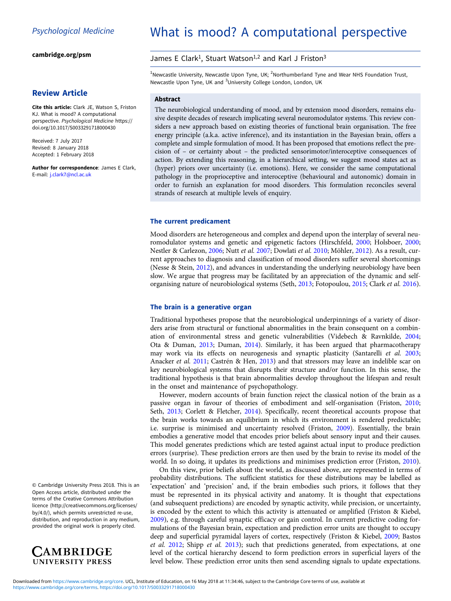[cambridge.org/psm](https://www.cambridge.org/psm)

# Review Article

Cite this article: Clark JE, Watson S, Friston KJ. What is mood? A computational perspective. Psychological Medicine [https://](https://doi.org/10.1017/S0033291718000430) [doi.org/10.1017/S0033291718000430](https://doi.org/10.1017/S0033291718000430)

Received: 7 July 2017 Revised: 8 January 2018 Accepted: 1 February 2018

Author for correspondence: James E Clark, E-mail: [j.clark7@ncl.ac.uk](mailto:j.clark7@ncl.ac.uk)

# What is mood? A computational perspective

# James E Clark<sup>1</sup>, Stuart Watson<sup>1,2</sup> and Karl J Friston<sup>3</sup>

 $^{1}$ Newcastle University, Newcastle Upon Tyne, UK;  $^{2}$ Northumberland Tyne and Wear NHS Foundation Trust, Newcastle Upon Tyne, UK and <sup>3</sup>University College London, London, UK

# Abstract

The neurobiological understanding of mood, and by extension mood disorders, remains elusive despite decades of research implicating several neuromodulator systems. This review considers a new approach based on existing theories of functional brain organisation. The free energy principle (a.k.a. active inference), and its instantiation in the Bayesian brain, offers a complete and simple formulation of mood. It has been proposed that emotions reflect the precision of – or certainty about – the predicted sensorimotor/interoceptive consequences of action. By extending this reasoning, in a hierarchical setting, we suggest mood states act as (hyper) priors over uncertainty (i.e. emotions). Here, we consider the same computational pathology in the proprioceptive and interoceptive (behavioural and autonomic) domain in order to furnish an explanation for mood disorders. This formulation reconciles several strands of research at multiple levels of enquiry.

## The current predicament

Mood disorders are heterogeneous and complex and depend upon the interplay of several neuromodulator systems and genetic and epigenetic factors (Hirschfeld, [2000](#page-6-0); Holsboer, [2000](#page-6-0); Nestler & Carlezon, [2006;](#page-6-0) Nutt et al. [2007](#page-6-0); Dowlati et al. [2010](#page-6-0); Möhler, [2012\)](#page-6-0). As a result, current approaches to diagnosis and classification of mood disorders suffer several shortcomings (Nesse & Stein, [2012](#page-6-0)), and advances in understanding the underlying neurobiology have been slow. We argue that progress may be facilitated by an appreciation of the dynamic and selforganising nature of neurobiological systems (Seth, [2013](#page-7-0); Fotopoulou, [2015](#page-6-0); Clark et al. [2016](#page-6-0)).

# The brain is a generative organ

Traditional hypotheses propose that the neurobiological underpinnings of a variety of disorders arise from structural or functional abnormalities in the brain consequent on a combination of environmental stress and genetic vulnerabilities (Videbech & Ravnkilde, [2004](#page-7-0); Ota & Duman, [2013](#page-7-0); Duman, [2014](#page-6-0)). Similarly, it has been argued that pharmacotherapy may work via its effects on neurogenesis and synaptic plasticity (Santarelli et al. [2003](#page-7-0); Anacker et al. [2011](#page-5-0); Castrén & Hen, [2013](#page-6-0)) and that stressors may leave an indelible scar on key neurobiological systems that disrupts their structure and/or function. In this sense, the traditional hypothesis is that brain abnormalities develop throughout the lifespan and result in the onset and maintenance of psychopathology.

However, modern accounts of brain function reject the classical notion of the brain as a passive organ in favour of theories of embodiment and self-organisation (Friston, [2010](#page-6-0); Seth, [2013](#page-7-0); Corlett & Fletcher, [2014](#page-6-0)). Specifically, recent theoretical accounts propose that the brain works towards an equilibrium in which its environment is rendered predictable; i.e. surprise is minimised and uncertainty resolved (Friston, [2009](#page-6-0)). Essentially, the brain embodies a generative model that encodes prior beliefs about sensory input and their causes. This model generates predictions which are tested against actual input to produce prediction errors (surprise). These prediction errors are then used by the brain to revise its model of the world. In so doing, it updates its predictions and minimises prediction error (Friston, [2010](#page-6-0)).

On this view, prior beliefs about the world, as discussed above, are represented in terms of probability distributions. The sufficient statistics for these distributions may be labelled as 'expectation' and 'precision' and, if the brain embodies such priors, it follows that they must be represented in its physical activity and anatomy. It is thought that expectations (and subsequent predictions) are encoded by synaptic activity, while precision, or uncertainty, is encoded by the extent to which this activity is attenuated or amplified (Friston & Kiebel, [2009\)](#page-6-0), e.g. through careful synaptic efficacy or gain control. In current predictive coding formulations of the Bayesian brain, expectation and prediction error units are thought to occupy deep and superficial pyramidal layers of cortex, respectively (Friston & Kiebel, [2009;](#page-6-0) Bastos et al. [2012;](#page-5-0) Shipp et al. [2013\)](#page-7-0); such that predictions generated, from expectations, at one level of the cortical hierarchy descend to form prediction errors in superficial layers of the level below. These prediction error units then send ascending signals to update expectations.

© Cambridge University Press 2018. This is an Open Access article, distributed under the terms of the Creative Commons Attribution licence (http://creativecommons.org/licenses/ by/4.0/), which permits unrestricted re-use, distribution, and reproduction in any medium, provided the original work is properly cited.

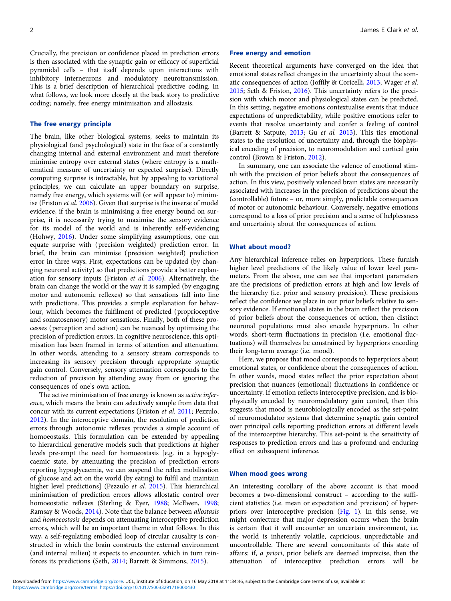Crucially, the precision or confidence placed in prediction errors is then associated with the synaptic gain or efficacy of superficial pyramidal cells – that itself depends upon interactions with inhibitory interneurons and modulatory neurotransmission. This is a brief description of hierarchical predictive coding. In what follows, we look more closely at the back story to predictive coding; namely, free energy minimisation and allostasis.

# The free energy principle

The brain, like other biological systems, seeks to maintain its physiological (and psychological) state in the face of a constantly changing internal and external environment and must therefore minimise entropy over external states (where entropy is a mathematical measure of uncertainty or expected surprise). Directly computing surprise is intractable, but by appealing to variational principles, we can calculate an upper boundary on surprise, namely free energy, which systems will (or will appear to) minimise (Friston et al. [2006\)](#page-6-0). Given that surprise is the inverse of model evidence, if the brain is minimising a free energy bound on surprise, it is necessarily trying to maximise the sensory evidence for its model of the world and is inherently self-evidencing (Hohwy, [2016](#page-6-0)). Under some simplifying assumptions, one can equate surprise with (precision weighted) prediction error. In brief, the brain can minimise (precision weighted) prediction error in three ways. First, expectations can be updated (by changing neuronal activity) so that predictions provide a better explanation for sensory inputs (Friston et al. [2006\)](#page-6-0). Alternatively, the brain can change the world or the way it is sampled (by engaging motor and autonomic reflexes) so that sensations fall into line with predictions. This provides a simple explanation for behaviour, which becomes the fulfilment of predicted (proprioceptive and somatosensory) motor sensations. Finally, both of these processes (perception and action) can be nuanced by optimising the precision of prediction errors. In cognitive neuroscience, this optimisation has been framed in terms of attention and attenuation. In other words, attending to a sensory stream corresponds to increasing its sensory precision through appropriate synaptic gain control. Conversely, sensory attenuation corresponds to the reduction of precision by attending away from or ignoring the consequences of one's own action.

The active minimisation of free energy is known as *active infer*ence, which means the brain can selectively sample from data that concur with its current expectations (Friston et al. [2011;](#page-6-0) Pezzulo, [2012\)](#page-7-0). In the interoceptive domain, the resolution of prediction errors through autonomic reflexes provides a simple account of homoeostasis. This formulation can be extended by appealing to hierarchical generative models such that predictions at higher levels pre-empt the need for homoeostasis [e.g. in a hypoglycaemic state, by attenuating the precision of prediction errors reporting hypoglycaemia, we can suspend the reflex mobilisation of glucose and act on the world (by eating) to fulfil and maintain higher level predictions] (Pezzulo et al. [2015](#page-7-0)). This hierarchical minimisation of prediction errors allows allostatic control over homoeostatic reflexes (Sterling & Eyer, [1988;](#page-7-0) McEwen, [1998](#page-6-0); Ramsay & Woods, [2014\)](#page-7-0). Note that the balance between allostasis and homoeostasis depends on attenuating interoceptive prediction errors, which will be an important theme in what follows. In this way, a self-regulating embodied loop of circular causality is constructed in which the brain constructs the external environment (and internal milieu) it expects to encounter, which in turn reinforces its predictions (Seth, [2014;](#page-7-0) Barrett & Simmons, [2015](#page-5-0)).

#### Free energy and emotion

Recent theoretical arguments have converged on the idea that emotional states reflect changes in the uncertainty about the somatic consequences of action (Joffily & Coricelli, [2013](#page-6-0); Wager et al. [2015;](#page-7-0) Seth & Friston, [2016](#page-7-0)). This uncertainty refers to the precision with which motor and physiological states can be predicted. In this setting, negative emotions contextualise events that induce expectations of unpredictability, while positive emotions refer to events that resolve uncertainty and confer a feeling of control (Barrett & Satpute, [2013](#page-5-0); Gu et al. [2013](#page-6-0)). This ties emotional states to the resolution of uncertainty and, through the biophysical encoding of precision, to neuromodulation and cortical gain control (Brown & Friston, [2012](#page-5-0)).

In summary, one can associate the valence of emotional stimuli with the precision of prior beliefs about the consequences of action. In this view, positively valenced brain states are necessarily associated with increases in the precision of predictions about the (controllable) future – or, more simply, predictable consequences of motor or autonomic behaviour. Conversely, negative emotions correspond to a loss of prior precision and a sense of helplessness and uncertainty about the consequences of action.

# What about mood?

Any hierarchical inference relies on hyperpriors. These furnish higher level predictions of the likely value of lower level parameters. From the above, one can see that important parameters are the precisions of prediction errors at high and low levels of the hierarchy (i.e. prior and sensory precision). These precisions reflect the confidence we place in our prior beliefs relative to sensory evidence. If emotional states in the brain reflect the precision of prior beliefs about the consequences of action, then distinct neuronal populations must also encode hyperpriors. In other words, short-term fluctuations in precision (i.e. emotional fluctuations) will themselves be constrained by hyperpriors encoding their long-term average (i.e. mood).

Here, we propose that mood corresponds to hyperpriors about emotional states, or confidence about the consequences of action. In other words, mood states reflect the prior expectation about precision that nuances (emotional) fluctuations in confidence or uncertainty. If emotion reflects interoceptive precision, and is biophysically encoded by neuromodulatory gain control, then this suggests that mood is neurobiologically encoded as the set-point of neuromodulator systems that determine synaptic gain control over principal cells reporting prediction errors at different levels of the interoceptive hierarchy. This set-point is the sensitivity of responses to prediction errors and has a profound and enduring effect on subsequent inference.

#### When mood goes wrong

An interesting corollary of the above account is that mood becomes a two-dimensional construct – according to the sufficient statistics (i.e. mean or expectation and precision) of hyperpriors over interoceptive precision [\(Fig. 1\)](#page-2-0). In this sense, we might conjecture that major depression occurs when the brain is certain that it will encounter an uncertain environment, i.e. the world is inherently volatile, capricious, unpredictable and uncontrollable. There are several concomitants of this state of affairs: if, a priori, prior beliefs are deemed imprecise, then the attenuation of interoceptive prediction errors will be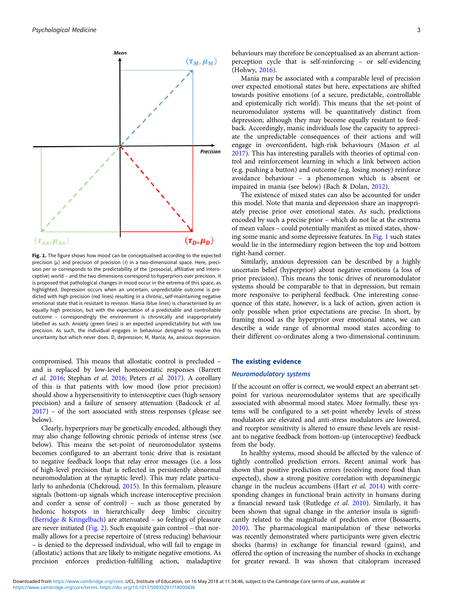<span id="page-2-0"></span>

Fig. 1. The figure shows how mood can be conceptualised according to the expected precision  $(\mu)$  and precision of precision  $(\tau)$  in a two-dimensional space. Here, precision per se corresponds to the predictability of the (prosocial, affiliative and interoceptive) world – and the two dimensions correspond to hyperpriors over precision. It is proposed that pathological changes in mood occur in the extrema of this space, as highlighted. Depression occurs when an uncertain, unpredictable outcome is predicted with high precision (red lines) resulting in a chronic, self-maintaining negative emotional state that is resistant to revision. Mania (blue lines) is characterised by an equally high precision, but with the expectation of a predictable and controllable outcome – correspondingly the environment is chronically and inappropriately labelled as such. Anxiety (green lines) is an expected unpredictability but with low precision. As such, the individual engages in behaviour designed to resolve this uncertainty but which never does. D, depression; M, Mania; Ax, anxious depression.

compromised. This means that allostatic control is precluded – and is replaced by low-level homoeostatic responses (Barrett et al. [2016;](#page-5-0) Stephan et al. [2016](#page-7-0); Peters et al. [2017](#page-7-0)). A corollary of this is that patients with low mood (low prior precision) should show a hypersensitivity to interoceptive cues (high sensory precision) and a failure of sensory attenuation (Badcock et al. [2017\)](#page-5-0) – of the sort associated with stress responses (please see below).

Clearly, hyperpriors may be genetically encoded, although they may also change following chronic periods of intense stress (see below). This means the set-point of neuromodulator systems becomes configured to an aberrant tonic drive that is resistant to negative feedback loops that relay error messages (i.e. a loss of high-level precision that is reflected in persistently abnormal neuromodulation at the synaptic level). This may relate particularly to anhedonia (Chekroud, [2015](#page-6-0)). In this formalism, pleasure signals (bottom-up signals which increase interoceptive precision and confer a sense of control) – such as those generated by hedonic hotspots in hierarchically deep limbic circuitry ([Berridge & Kringelbach\)](#page-5-0) are attenuated – so feelings of pleasure are never initiated ([Fig. 2\)](#page-3-0). Such exquisite gain control – that normally allows for a precise repertoire of (stress reducing) behaviour – is denied to the depressed individual, who will fail to engage in (allostatic) actions that are likely to mitigate negative emotions. As precision enforces prediction-fulfilling action, maladaptive behaviours may therefore be conceptualised as an aberrant actionperception cycle that is self-reinforcing – or self-evidencing (Hohwy, [2016\)](#page-6-0).

Mania may be associated with a comparable level of precision over expected emotional states but here, expectations are shifted towards positive emotions (of a secure, predictable, controllable and epistemically rich world). This means that the set-point of neuromodulator systems will be quantitatively distinct from depression; although they may become equally resistant to feedback. Accordingly, manic individuals lose the capacity to appreciate the unpredictable consequences of their actions and will engage in overconfident, high-risk behaviours (Mason et al. [2017](#page-6-0)). This has interesting parallels with theories of optimal control and reinforcement learning in which a link between action (e.g. pushing a button) and outcome (e.g. losing money) reinforce avoidance behaviour – a phenomenon which is absent or impaired in mania (see below) (Bach & Dolan, [2012](#page-5-0)).

The existence of mixed states can also be accounted for under this model. Note that mania and depression share an inappropriately precise prior over emotional states. As such, predictions encoded by such a precise prior – which do not lie at the extrema of mean values – could potentially manifest as mixed states, showing some manic and some depressive features. In Fig. 1 such states would lie in the intermediary region between the top and bottom right-hand corner.

Similarly, anxious depression can be described by a highly uncertain belief (hyperprior) about negative emotions (a loss of prior precision). This means the tonic drives of neuromodulator systems should be comparable to that in depression, but remain more responsive to peripheral feedback. One interesting consequence of this state, however, is a lack of action, given action is only possible when prior expectations are precise. In short, by framing mood as the hyperprior over emotional states, we can describe a wide range of abnormal mood states according to their different co-ordinates along a two-dimensional continuum.

### The existing evidence

# Neuromodulatory systems

If the account on offer is correct, we would expect an aberrant setpoint for various neuromodulator systems that are specifically associated with abnormal mood states. More formally, these systems will be configured to a set-point whereby levels of stress modulators are elevated and anti-stress modulators are lowered, and receptor sensitivity is altered to ensure these levels are resistant to negative feedback from bottom-up (interoceptive) feedback from the body.

In healthy systems, mood should be affected by the valence of tightly controlled prediction errors. Recent animal work has shown that positive prediction errors (receiving more food than expected), show a strong positive correlation with dopaminergic change in the nucleus accumbens (Hart et al. [2014\)](#page-6-0) with corresponding changes in functional brain activity in humans during a financial reward task (Rutledge et al. [2010\)](#page-7-0). Similarly, it has been shown that signal change in the anterior insula is significantly related to the magnitude of prediction error (Bossaerts, [2010](#page-5-0)). The pharmacological manipulation of these networks was recently demonstrated where participants were given electric shocks (harms) in exchange for financial reward (gains), and offered the option of increasing the number of shocks in exchange for greater reward. It was shown that citalopram increased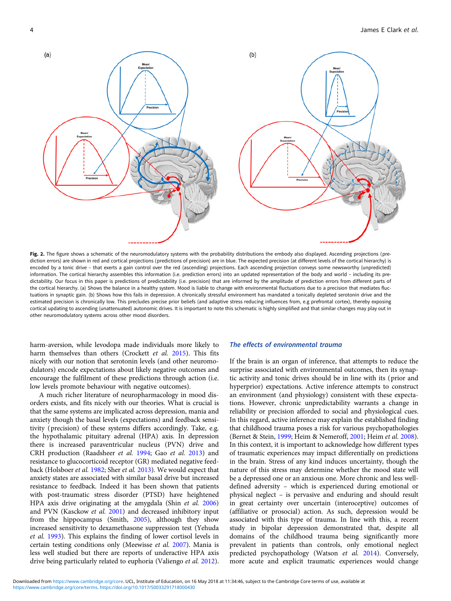<span id="page-3-0"></span>

Fig. 2. The figure shows a schematic of the neuromodulatory systems with the probability distributions the embody also displayed. Ascending projections (prediction errors) are shown in red and cortical projections (predictions of precision) are in blue. The expected precision (at different levels of the cortical hierarchy) is encoded by a tonic drive - that exerts a gain control over the red (ascending) projections. Each ascending projection conveys some newsworthy (unpredicted) information. The cortical hierarchy assembles this information (i.e. prediction errors) into an updated representation of the body and world – including its predictability. Our focus in this paper is predictions of predictability (i.e. precision) that are informed by the amplitude of prediction errors from different parts of the cortical hierarchy. (a) Shows the balance in a healthy system. Mood is liable to change with environmental fluctuations due to a precision that mediates fluctuations in synaptic gain. (b) Shows how this fails in depression. A chronically stressful environment has mandated a tonically depleted serotonin drive and the estimated precision is chronically low. This precludes precise prior beliefs (and adaptive stress reducing influences from, e.g prefrontal cortex), thereby exposing cortical updating to ascending (unattenuated) autonomic drives. It is important to note this schematic is highly simplified and that similar changes may play out in other neuromodulatory systems across other mood disorders.

harm-aversion, while levodopa made individuals more likely to harm themselves than others (Crockett et al. [2015\)](#page-6-0). This fits nicely with our notion that serotonin levels (and other neuromodulators) encode expectations about likely negative outcomes and encourage the fulfilment of these predictions through action (i.e. low levels promote behaviour with negative outcomes).

A much richer literature of neuropharmacology in mood disorders exists, and fits nicely with our theories. What is crucial is that the same systems are implicated across depression, mania and anxiety though the basal levels (expectations) and feedback sensitivity (precision) of these systems differs accordingly. Take, e.g. the hypothalamic pituitary adrenal (HPA) axis. In depression there is increased paraventricular nucleus (PVN) drive and CRH production (Raadsheer et al. [1994;](#page-7-0) Gao et al. [2013](#page-6-0)) and resistance to glucocorticoid receptor (GR) mediated negative feedback (Holsboer et al. [1982;](#page-6-0) Sher et al. [2013\)](#page-7-0). We would expect that anxiety states are associated with similar basal drive but increased resistance to feedback. Indeed it has been shown that patients with post-traumatic stress disorder (PTSD) have heightened HPA axis drive originating at the amygdala (Shin et al. [2006\)](#page-7-0) and PVN (Kasckow et al. [2001\)](#page-6-0) and decreased inhibitory input from the hippocampus (Smith, [2005\)](#page-7-0), although they show increased sensitivity to dexamethasone suppression test (Yehuda et al. [1993\)](#page-7-0). This explains the finding of lower cortisol levels in certain testing conditions only (Meewisse et al. [2007](#page-6-0)). Mania is less well studied but there are reports of underactive HPA axis drive being particularly related to euphoria (Valiengo et al. [2012\)](#page-7-0).

# The effects of environmental trauma

If the brain is an organ of inference, that attempts to reduce the surprise associated with environmental outcomes, then its synaptic activity and tonic drives should be in line with its (prior and hyperprior) expectations. Active inference attempts to construct an environment (and physiology) consistent with these expectations. However, chronic unpredictability warrants a change in reliability or precision afforded to social and physiological cues. In this regard, active inference may explain the established finding that childhood trauma poses a risk for various psychopathologies (Bernet & Stein, [1999](#page-5-0); Heim & Nemeroff, [2001;](#page-6-0) Heim et al. [2008](#page-6-0)). In this context, it is important to acknowledge how different types of traumatic experiences may impact differentially on predictions in the brain. Stress of any kind induces uncertainty, though the nature of this stress may determine whether the mood state will be a depressed one or an anxious one. More chronic and less welldefined adversity – which is experienced during emotional or physical neglect – is pervasive and enduring and should result in great certainty over uncertain (interoceptive) outcomes of (affiliative or prosocial) action. As such, depression would be associated with this type of trauma. In line with this, a recent study in bipolar depression demonstrated that, despite all domains of the childhood trauma being significantly more prevalent in patients than controls, only emotional neglect predicted psychopathology (Watson et al. [2014\)](#page-7-0). Conversely, more acute and explicit traumatic experiences would change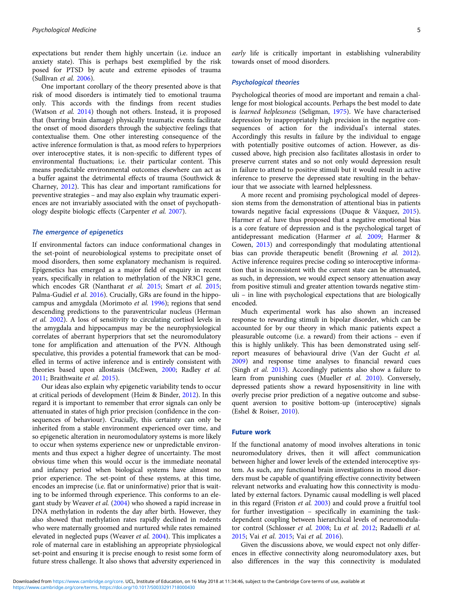expectations but render them highly uncertain (i.e. induce an anxiety state). This is perhaps best exemplified by the risk posed for PTSD by acute and extreme episodes of trauma (Sullivan et al. [2006\)](#page-7-0).

One important corollary of the theory presented above is that risk of mood disorders is intimately tied to emotional trauma only. This accords with the findings from recent studies (Watson et al. [2014](#page-7-0)) though not others. Instead, it is proposed that (barring brain damage) physically traumatic events facilitate the onset of mood disorders through the subjective feelings that contextualise them. One other interesting consequence of the active inference formulation is that, as mood refers to hyperpriors over interoceptive states, it is non-specific to different types of environmental fluctuations; i.e. their particular content. This means predictable environmental outcomes elsewhere can act as a buffer against the detrimental effects of trauma (Southwick & Charney, [2012\)](#page-7-0). This has clear and important ramifications for preventive strategies – and may also explain why traumatic experiences are not invariably associated with the onset of psychopathology despite biologic effects (Carpenter et al. [2007](#page-6-0)).

# The emergence of epigenetics

If environmental factors can induce conformational changes in the set-point of neurobiological systems to precipitate onset of mood disorders, then some explanatory mechanism is required. Epigenetics has emerged as a major field of enquiry in recent years, specifically in relation to methylation of the NR3C1 gene, which encodes GR (Nantharat et al. [2015](#page-6-0); Smart et al. [2015;](#page-7-0) Palma-Gudiel et al. [2016\)](#page-7-0). Crucially, GRs are found in the hippocampus and amygdala (Morimoto et al. [1996\)](#page-6-0); regions that send descending predictions to the paraventricular nucleus (Herman et al. [2002\)](#page-6-0). A loss of sensitivity to circulating cortisol levels in the amygdala and hippocampus may be the neurophysiological correlates of aberrant hyperpriors that set the neuromodulatory tone for amplification and attenuation of the PVN. Although speculative, this provides a potential framework that can be modelled in terms of active inference and is entirely consistent with theories based upon allostasis (McEwen, [2000;](#page-6-0) Radley et al. [2011;](#page-7-0) Braithwaite et al. [2015\)](#page-5-0).

Our ideas also explain why epigenetic variability tends to occur at critical periods of development (Heim & Binder, [2012\)](#page-6-0). In this regard it is important to remember that error signals can only be attenuated in states of high prior precision (confidence in the consequences of behaviour). Crucially, this certainty can only be inherited from a stable environment experienced over time, and so epigenetic alteration in neuromodulatory systems is more likely to occur when systems experience new or unpredictable environments and thus expect a higher degree of uncertainty. The most obvious time when this would occur is the immediate neonatal and infancy period when biological systems have almost no prior experience. The set-point of these systems, at this time, encodes an imprecise (i.e. flat or uninformative) prior that is waiting to be informed through experience. This conforms to an elegant study by Weaver et al. ([2004](#page-7-0)) who showed a rapid increase in DNA methylation in rodents the day after birth. However, they also showed that methylation rates rapidly declined in rodents who were maternally groomed and nurtured while rates remained elevated in neglected pups (Weaver et al. [2004](#page-7-0)). This implicates a role of maternal care in establishing an appropriate physiological set-point and ensuring it is precise enough to resist some form of future stress challenge. It also shows that adversity experienced in

early life is critically important in establishing vulnerability towards onset of mood disorders.

# Psychological theories

Psychological theories of mood are important and remain a challenge for most biological accounts. Perhaps the best model to date is learned helplessness (Seligman, [1975\)](#page-7-0). We have characterised depression by inappropriately high precision in the negative consequences of action for the individual's internal states. Accordingly this results in failure by the individual to engage with potentially positive outcomes of action. However, as discussed above, high precision also facilitates allostasis in order to preserve current states and so not only would depression result in failure to attend to positive stimuli but it would result in active inference to preserve the depressed state resulting in the behaviour that we associate with learned helplessness.

A more recent and promising psychological model of depression stems from the demonstration of attentional bias in patients towards negative facial expressions (Duque & Vázquez, [2015](#page-6-0)). Harmer et al. have thus proposed that a negative emotional bias is a core feature of depression and is the psychological target of antidepressant medication (Harmer et al. [2009](#page-6-0); Harmer & Cowen, [2013\)](#page-6-0) and correspondingly that modulating attentional bias can provide therapeutic benefit (Browning et al. [2012](#page-5-0)). Active inference requires precise coding so interoceptive information that is inconsistent with the current state can be attenuated, as such, in depression, we would expect sensory attenuation away from positive stimuli and greater attention towards negative stimuli – in line with psychological expectations that are biologically encoded.

Much experimental work has also shown an increased response to rewarding stimuli in bipolar disorder, which can be accounted for by our theory in which manic patients expect a pleasurable outcome (i.e. a reward) from their actions – even if this is highly unlikely. This has been demonstrated using selfreport measures of behavioural drive (Van der Gucht et al. [2009](#page-7-0)) and response time analyses to financial reward cues (Singh et al. [2013\)](#page-7-0). Accordingly patients also show a failure to learn from punishing cues (Mueller et al. [2010](#page-6-0)). Conversely, depressed patients show a reward hyposensitivity in line with overly precise prior prediction of a negative outcome and subsequent aversion to positive bottom-up (interoceptive) signals (Eshel & Roiser, [2010\)](#page-6-0).

#### Future work

If the functional anatomy of mood involves alterations in tonic neuromodulatory drives, then it will affect communication between higher and lower levels of the extended interoceptive system. As such, any functional brain investigations in mood disorders must be capable of quantifying effective connectivity between relevant networks and evaluating how this connectivity is modulated by external factors. Dynamic causal modelling is well placed in this regard (Friston et al. [2003](#page-6-0)) and could prove a fruitful tool for further investigation – specifically in examining the taskdependent coupling between hierarchical levels of neuromodulator control (Schlosser et al. [2008](#page-7-0); Lu et al. [2012](#page-6-0); Radaelli et al. [2015](#page-7-0); Vai et al. [2015](#page-7-0); Vai et al. [2016](#page-7-0)).

Given the discussions above, we would expect not only differences in effective connectivity along neuromodulatory axes, but also differences in the way this connectivity is modulated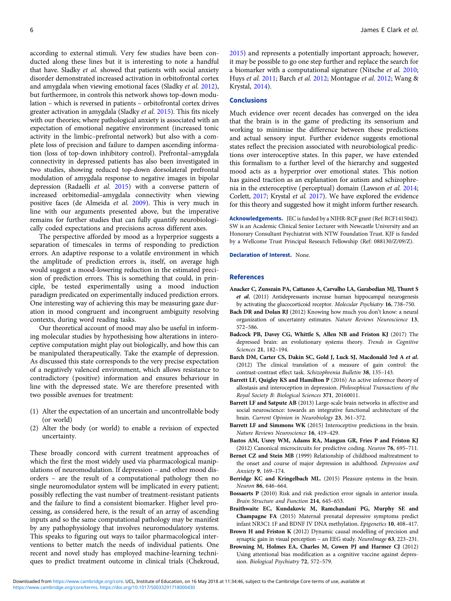<span id="page-5-0"></span>according to external stimuli. Very few studies have been conducted along these lines but it is interesting to note a handful that have. Sladky et al. showed that patients with social anxiety disorder demonstrated increased activation in orbitofrontal cortex and amygdala when viewing emotional faces (Sladky et al. [2012\)](#page-7-0), but furthermore, in controls this network shows top-down modulation – which is reversed in patients – orbitofrontal cortex drives greater activation in amygdala (Sladky et al. [2015\)](#page-7-0). This fits nicely with our theories; where pathological anxiety is associated with an expectation of emotional negative environment (increased tonic activity in the limbic–prefrontal network) but also with a complete loss of precision and failure to dampen ascending information (loss of top-down inhibitory control). Prefrontal–amygdala connectivity in depressed patients has also been investigated in two studies, showing reduced top-down dorsolateral prefrontal modulation of amygdala response to negative images in bipolar depression (Radaelli et al. [2015\)](#page-7-0) with a converse pattern of increased orbitomedial–amygdala connectivity when viewing positive faces (de Almeida et al. [2009\)](#page-6-0). This is very much in line with our arguments presented above, but the imperative remains for further studies that can fully quantify neurobiologically coded expectations and precisions across different axes.

The perspective afforded by mood as a hyperprior suggests a separation of timescales in terms of responding to prediction errors. An adaptive response to a volatile environment in which the amplitude of prediction errors is, itself, on average high would suggest a mood-lowering reduction in the estimated precision of prediction errors. This is something that could, in principle, be tested experimentally using a mood induction paradigm predicated on experimentally induced prediction errors. One interesting way of achieving this may be measuring gaze duration in mood congruent and incongruent ambiguity resolving contexts, during word reading tasks.

Our theoretical account of mood may also be useful in informing molecular studies by hypothesising how alterations in interoceptive computation might play out biologically, and how this can be manipulated therapeutically. Take the example of depression. As discussed this state corresponds to the very precise expectation of a negatively valenced environment, which allows resistance to contradictory (positive) information and ensures behaviour in line with the depressed state. We are therefore presented with two possible avenues for treatment:

- (1) Alter the expectation of an uncertain and uncontrollable body (or world)
- (2) Alter the body (or world) to enable a revision of expected uncertainty.

These broadly concord with current treatment approaches of which the first the most widely used via pharmacological manipulations of neuromodulation. If depression – and other mood disorders – are the result of a computational pathology then no single neuromodulator system will be implicated in every patient; possibly reflecting the vast number of treatment-resistant patients and the failure to find a consistent biomarker. Higher level processing, as considered here, is the result of an array of ascending inputs and so the same computational pathology may be manifest by any pathophysiology that involves neuromodulatory systems. This speaks to figuring out ways to tailor pharmacological interventions to better match the needs of individual patients. One recent and novel study has employed machine-learning techniques to predict treatment outcome in clinical trials (Chekroud,

[2015\)](#page-6-0) and represents a potentially important approach; however, it may be possible to go one step further and replace the search for a biomarker with a computational signature (Nitsche et al. [2010;](#page-6-0) Huys et al. [2011](#page-6-0); Barch et al. 2012; Montague et al. [2012;](#page-6-0) Wang & Krystal, [2014](#page-7-0)).

#### **Conclusions**

Much evidence over recent decades has converged on the idea that the brain is in the game of predicting its sensorium and working to minimise the difference between these predictions and actual sensory input. Further evidence suggests emotional states reflect the precision associated with neurobiological predictions over interoceptive states. In this paper, we have extended this formalism to a further level of the hierarchy and suggested mood acts as a hyperprior over emotional states. This notion has gained traction as an explanation for autism and schizophrenia in the exteroceptive (perceptual) domain (Lawson et al. [2014;](#page-6-0) Corlett, [2017](#page-6-0); Krystal et al. [2017](#page-6-0)). We have explored the evidence for this theory and suggested how it might inform further research.

Acknowledgements. JEC is funded by a NIHR-RCF grant (Ref: RCF1415042). SW is an Academic Clinical Senior Lecturer with Newcastle University and an Honorary Consultant Psychiatrist with NTW Foundation Trust. KJF is funded by a Wellcome Trust Principal Research Fellowship (Ref: 088130/Z/09/Z).

Declaration of Interest. None.

# References

- Anacker C, Zunszain PA, Cattaneo A, Carvalho LA, Garabedian MJ, Thuret S et al. (2011) Antidepressants increase human hippocampal neurogenesis by activating the glucocorticoid receptor. Molecular Psychiatry 16, 738–750.
- Bach DR and Dolan RJ (2012) Knowing how much you don't know: a neural organization of uncertainty estimates. Nature Reviews Neuroscience 13, 572–586.
- Badcock PB, Davey CG, Whittle S, Allen NB and Friston KJ (2017) The depressed brain: an evolutionary systems theory. Trends in Cognitive Sciences 21, 182–194.
- Barch DM, Carter CS, Dakin SC, Gold J, Luck SJ, Macdonald 3rd A et al. (2012) The clinical translation of a measure of gain control: the contrast-contrast effect task. Schizophrenia Bulletin 38, 135–143.
- Barrett LF, Quigley KS and Hamilton P (2016) An active inference theory of allostasis and interoception in depression. Philosophical Transactions of the Royal Society B: Biological Sciences 371, 20160011.
- Barrett LF and Satpute AB (2013) Large-scale brain networks in affective and social neuroscience: towards an integrative functional architecture of the brain. Current Opinion in Neurobiology 23, 361–372.
- Barrett LF and Simmons WK (2015) Interoceptive predictions in the brain. Nature Reviews Neuroscience 16, 419–429.
- Bastos AM, Usrey WM, Adams RA, Mangun GR, Fries P and Friston KJ (2012) Canonical microcircuits for predictive coding. Neuron 76, 695–711.
- Bernet CZ and Stein MB (1999) Relationship of childhood maltreatment to the onset and course of major depression in adulthood. Depression and Anxiety 9, 169–174.
- Berridge KC and Kringelbach ML. (2015) Pleasure systems in the brain. Neuron 86, 646–664.
- Bossaerts P (2010) Risk and risk prediction error signals in anterior insula. Brain Structure and Function 214, 645–653.
- Braithwaite EC, Kundakovic M, Ramchandani PG, Murphy SE and Champagne FA (2015) Maternal prenatal depressive symptoms predict infant NR3C1 1F and BDNF IV DNA methylation. Epigenetics 10, 408–417.
- Brown H and Friston K (2012) Dynamic causal modelling of precision and synaptic gain in visual perception – an EEG study. NeuroImage 63, 223–231.
- Browning M, Holmes EA, Charles M, Cowen PJ and Harmer CJ (2012) Using attentional bias modification as a cognitive vaccine against depression. Biological Psychiatry 72, 572–579.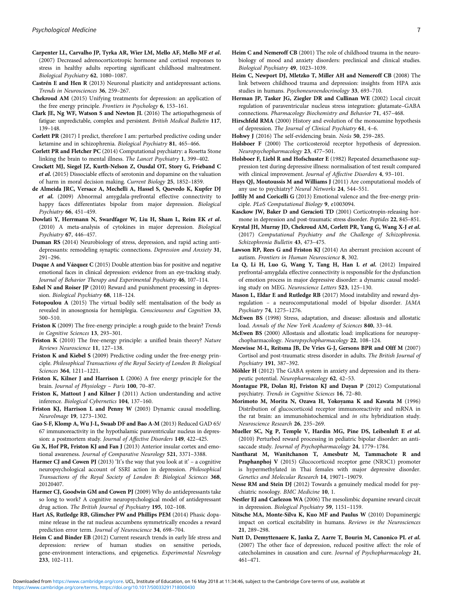- <span id="page-6-0"></span>Carpenter LL, Carvalho JP, Tyrka AR, Wier LM, Mello AF, Mello MF et al. (2007) Decreased adrenocorticotropic hormone and cortisol responses to stress in healthy adults reporting significant childhood maltreatment. Biological Psychiatry 62, 1080–1087.
- Castrén E and Hen R (2013) Neuronal plasticity and antidepressant actions. Trends in Neurosciences 36, 259–267.
- Chekroud AM (2015) Unifying treatments for depression: an application of the free energy principle. Frontiers in Psychology 6, 153–161.
- Clark JE, Ng WF, Watson S and Newton JL (2016) The aetiopathogenesis of fatigue: unpredictable, complex and persistent. British Medical Bulletin 117, 139–148.
- Corlett PR (2017) I predict, therefore I am: perturbed predictive coding under ketamine and in schizophrenia. Biological Psychiatry 81, 465–466.
- Corlett PR and Fletcher PC (2014) Computational psychiatry: a Rosetta Stone linking the brain to mental illness. The Lancet Psychiatry 1, 399–402.
- Crockett MJ, Siegel JZ, Kurth-Nelson Z, Ousdal OT, Story G, Frieband C et al. (2015) Dissociable effects of serotonin and dopamine on the valuation of harm in moral decision making. Current Biology 25, 1852–1859.
- de Almeida JRC, Versace A, Mechelli A, Hassel S, Quevedo K, Kupfer DJ et al. (2009) Abnormal amygdala-prefrontal effective connectivity to happy faces differentiates bipolar from major depression. Biological Psychiatry 66, 451–459.
- Dowlati Y, Herrmann N, Swardfager W, Liu H, Sham L, Reim EK et al. (2010) A meta-analysis of cytokines in major depression. Biological Psychiatry 67, 446–457.
- Duman RS (2014) Neurobiology of stress, depression, and rapid acting antidepressants: remodeling synaptic connections. Depression and Anxiety 31, 291–296.
- Duque A and Vázquez C (2015) Double attention bias for positive and negative emotional faces in clinical depression: evidence from an eye-tracking study. Journal of Behavior Therapy and Experimental Psychiatry 46, 107-114.
- Eshel N and Roiser JP (2010) Reward and punishment processing in depression. Biological Psychiatry 68, 118–124.
- Fotopoulou A (2015) The virtual bodily self: mentalisation of the body as revealed in anosognosia for hemiplegia. Consciousness and Cognition 33, 500–510.
- Friston K (2009) The free-energy principle: a rough guide to the brain? Trends in Cognitive Sciences 13, 293–301.
- Friston K (2010) The free-energy principle: a unified brain theory? Nature Reviews Neuroscience 11, 127–138.
- Friston K and Kiebel S (2009) Predictive coding under the free-energy principle. Philosophical Transactions of the Royal Society of London B: Biological Sciences 364, 1211–1221.
- Friston K, Kilner J and Harrison L (2006) A free energy principle for the brain. Journal of Physiology - Paris 100, 70-87.
- Friston K, Mattout J and Kilner J (2011) Action understanding and active inference. Biological Cybernetics 104, 137–160.
- Friston KJ, Harrison L and Penny W (2003) Dynamic causal modelling. NeuroImage 19, 1273–1302.
- Gao S-F, Klomp A, Wu J-L, Swaab DF and Bao A-M (2013) Reduced GAD 65/ 67 immunoreactivity in the hypothalamic paraventricular nucleus in depression: a postmortem study. Journal of Affective Disorders 149, 422–425.
- Gu X, Hof PR, Friston KJ and Fan J (2013) Anterior insular cortex and emotional awareness. Journal of Comparative Neurology 521, 3371–3388.
- **Harmer CJ and Cowen PJ** (2013) 'It's the way that you look at it' a cognitive neuropsychological account of SSRI action in depression. Philosophical Transactions of the Royal Society of London B: Biological Sciences 368, 20120407.
- Harmer CJ, Goodwin GM and Cowen PJ (2009) Why do antidepressants take so long to work? A cognitive neuropsychological model of antidepressant drug action. The British Journal of Psychiatry 195, 102–108.
- Hart AS, Rutledge RB, Glimcher PW and Phillips PEM (2014) Phasic dopamine release in the rat nucleus accumbens symmetrically encodes a reward prediction error term. Journal of Neuroscience 34, 698–704.
- Heim C and Binder EB (2012) Current research trends in early life stress and depression: review of human studies on sensitive periods, gene-environment interactions, and epigenetics. Experimental Neurology 233, 102–111.
- Heim C and Nemeroff CB (2001) The role of childhood trauma in the neurobiology of mood and anxiety disorders: preclinical and clinical studies. Biological Psychiatry 49, 1023–1039.
- Heim C, Newport DJ, Mletzko T, Miller AH and Nemeroff CB (2008) The link between childhood trauma and depression: insights from HPA axis studies in humans. Psychoneuroendocrinology 33, 693–710.
- Herman JP, Tasker JG, Ziegler DR and Cullinan WE (2002) Local circuit regulation of paraventricular nucleus stress integration: glutamate–GABA connections. Pharmacology Biochemistry and Behavior 71, 457–468.
- Hirschfeld RMA (2000) History and evolution of the monoamine hypothesis of depression. The Journal of Clinical Psychiatry 61, 4–6.
- Hohwy J (2016) The self-evidencing brain. Noûs 50, 259–285.
- Holsboer F (2000) The corticosteroid receptor hypothesis of depression. Neuropsychopharmacology 23, 477–501.
- Holsboer F, Liebl R and Hofschuster E (1982) Repeated dexamethasone suppression test during depressive illness: normalisation of test result compared with clinical improvement. Journal of Affective Disorders 4, 93–101.
- Huys QJ, Moutoussis M and Williams J (2011) Are computational models of any use to psychiatry? Neural Networks 24, 544–551.
- Joffily M and Coricelli G (2013) Emotional valence and the free-energy principle. PLoS Computational Biology 9, e1003094.
- Kasckow JW, Baker D and Geracioti TD (2001) Corticotropin-releasing hormone in depression and post-traumatic stress disorder. Peptides 22, 845–851.
- Krystal JH, Murray JD, Chekroud AM, Corlett PR, Yang G, Wang X-J et al. (2017) Computational Psychiatry and the Challenge of Schizophrenia. Schizophrenia Bulletin 43, 473–475.
- Lawson RP, Rees G and Friston KJ (2014) An aberrant precision account of autism. Frontiers in Human Neuroscience 8, 302.
- Lu Q, Li H, Luo G, Wang Y, Tang H, Han L et al. (2012) Impaired prefrontal-amygdala effective connectivity is responsible for the dysfunction of emotion process in major depressive disorder: a dynamic causal modeling study on MEG. Neuroscience Letters 523, 125–130.
- Mason L, Eldar E and Rutledge RB (2017) Mood instability and reward dysregulation – a neurocomputational model of bipolar disorder. JAMA Psychiatry 74, 1275–1276.
- McEwen BS (1998) Stress, adaptation, and disease: allostasis and allostatic load. Annals of the New York Academy of Sciences 840, 33–44.
- McEwen BS (2000) Allostasis and allostatic load: implications for neuropsychopharmacology. Neuropsychopharmacology 22, 108–124.
- Meewisse M-L, Reitsma JB, De Vries G-J, Gersons BPR and Olff M (2007) Cortisol and post-traumatic stress disorder in adults. The British Journal of Psychiatry 191, 387–392.
- Möhler H (2012) The GABA system in anxiety and depression and its therapeutic potential. Neuropharmacology 62, 42–53.
- Montague PR, Dolan RJ, Friston KJ and Dayan P (2012) Computational psychiatry. Trends in Cognitive Sciences 16, 72–80.
- Morimoto M, Morita N, Ozawa H, Yokoyama K and Kawata M (1996) Distribution of glucocorticoid receptor immunoreactivity and mRNA in the rat brain: an immunohistochemical and in situ hybridization study. Neuroscience Research 26, 235–269.
- Mueller SC, Ng P, Temple V, Hardin MG, Pine DS, Leibenluft E et al. (2010) Perturbed reward processing in pediatric bipolar disorder: an antisaccade study. Journal of Psychopharmacology 24, 1779-1784.
- Nantharat M, Wanitchanon T, Amesbutr M, Tammachote R and Praphanphoj V (2015) Glucocorticoid receptor gene (NR3C1) promoter is hypermethylated in Thai females with major depressive disorder. Genetics and Molecular Research 14, 19071–19079.
- Nesse RM and Stein DJ (2012) Towards a genuinely medical model for psychiatric nosology. BMC Medicine 10, 1.
- Nestler EJ and Carlezon WA (2006) The mesolimbic dopamine reward circuit in depression. Biological Psychiatry 59, 1151–1159.
- Nitsche MA, Monte-Silva K, Kuo MF and Paulus W (2010) Dopaminergic impact on cortical excitability in humans. Reviews in the Neurosciences 21, 289–298.
- Nutt D, Demyttenaere K, Janka Z, Aarre T, Bourin M, Canonico PL et al. (2007) The other face of depression, reduced positive affect: the role of catecholamines in causation and cure. Journal of Psychopharmacology 21, 461–471.